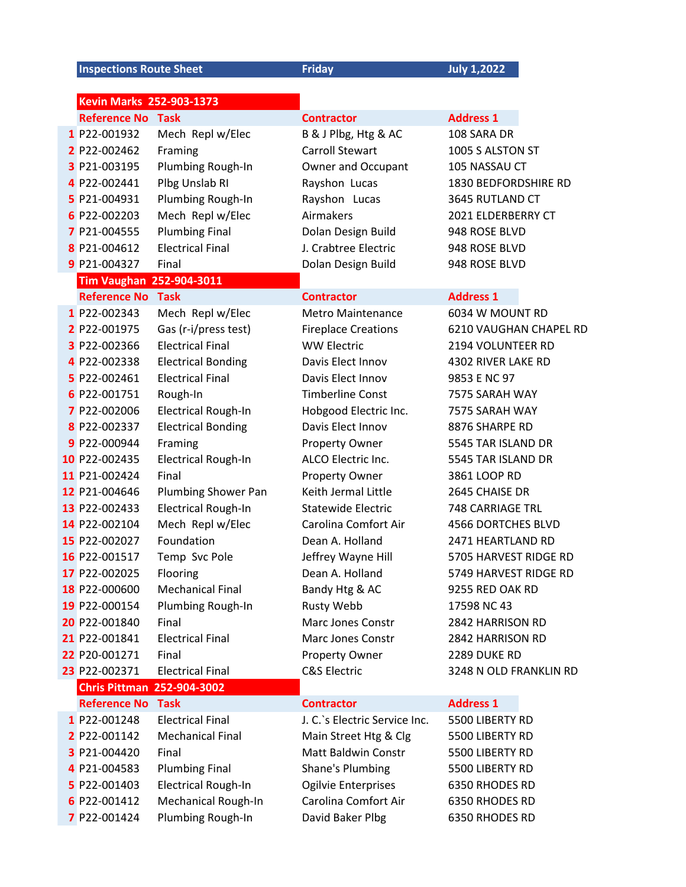**Inspections Route Sheet Friday** *July 1,2022* 

| Kevin Marks 252-903-1373          |                            |                               |                           |  |
|-----------------------------------|----------------------------|-------------------------------|---------------------------|--|
| <b>Reference No Task</b>          |                            | <b>Contractor</b>             | <b>Address 1</b>          |  |
| 1 P22-001932                      | Mech Repl w/Elec           | B & J Plbg, Htg & AC          | 108 SARA DR               |  |
| 2 P22-002462                      | Framing                    | <b>Carroll Stewart</b>        | 1005 S ALSTON ST          |  |
| 3 P21-003195                      | Plumbing Rough-In          | Owner and Occupant            | 105 NASSAU CT             |  |
| 4 P22-002441                      | Plbg Unslab RI             | Rayshon Lucas                 | 1830 BEDFORDSHIRE RD      |  |
| 5 P21-004931                      | Plumbing Rough-In          | Rayshon Lucas                 | 3645 RUTLAND CT           |  |
| 6 P22-002203                      | Mech Repl w/Elec           | Airmakers                     | 2021 ELDERBERRY CT        |  |
| 7 P21-004555                      | <b>Plumbing Final</b>      | Dolan Design Build            | 948 ROSE BLVD             |  |
| 8 P21-004612                      | <b>Electrical Final</b>    | J. Crabtree Electric          | 948 ROSE BLVD             |  |
| 9 P21-004327                      | Final                      | Dolan Design Build            | 948 ROSE BLVD             |  |
| <b>Tim Vaughan 252-904-3011</b>   |                            |                               |                           |  |
| <b>Reference No</b>               | <b>Task</b>                | <b>Contractor</b>             | <b>Address 1</b>          |  |
| 1 P22-002343                      | Mech Repl w/Elec           | <b>Metro Maintenance</b>      | 6034 W MOUNT RD           |  |
| 2 P22-001975                      | Gas (r-i/press test)       | <b>Fireplace Creations</b>    | 6210 VAUGHAN CHAPEL RD    |  |
| 3 P22-002366                      | <b>Electrical Final</b>    | <b>WW Electric</b>            | 2194 VOLUNTEER RD         |  |
| 4 P22-002338                      | <b>Electrical Bonding</b>  | Davis Elect Innov             | 4302 RIVER LAKE RD        |  |
| 5 P22-002461                      | <b>Electrical Final</b>    | Davis Elect Innov             | 9853 E NC 97              |  |
| 6 P22-001751                      | Rough-In                   | <b>Timberline Const</b>       | 7575 SARAH WAY            |  |
| 7 P22-002006                      | <b>Electrical Rough-In</b> | Hobgood Electric Inc.         | 7575 SARAH WAY            |  |
| 8 P22-002337                      | <b>Electrical Bonding</b>  | Davis Elect Innov             | 8876 SHARPE RD            |  |
| 9 P22-000944                      | Framing                    | Property Owner                | 5545 TAR ISLAND DR        |  |
| 10 P22-002435                     | <b>Electrical Rough-In</b> | ALCO Electric Inc.            | 5545 TAR ISLAND DR        |  |
| 11 P21-002424                     | Final                      | Property Owner                | 3861 LOOP RD              |  |
| 12 P21-004646                     | Plumbing Shower Pan        | Keith Jermal Little           | 2645 CHAISE DR            |  |
| 13 P22-002433                     | <b>Electrical Rough-In</b> | <b>Statewide Electric</b>     | 748 CARRIAGE TRL          |  |
| 14 P22-002104                     | Mech Repl w/Elec           | Carolina Comfort Air          | <b>4566 DORTCHES BLVD</b> |  |
| 15 P22-002027                     | Foundation                 | Dean A. Holland               | 2471 HEARTLAND RD         |  |
| 16 P22-001517                     | Temp Svc Pole              | Jeffrey Wayne Hill            | 5705 HARVEST RIDGE RD     |  |
| 17 P22-002025                     | Flooring                   | Dean A. Holland               | 5749 HARVEST RIDGE RD     |  |
| 18 P22-000600                     | <b>Mechanical Final</b>    | Bandy Htg & AC                | 9255 RED OAK RD           |  |
| 19 P22-000154                     | Plumbing Rough-In          | Rusty Webb                    | 17598 NC 43               |  |
| 20 P22-001840                     | Final                      | <b>Marc Jones Constr</b>      | 2842 HARRISON RD          |  |
| 21 P22-001841                     | <b>Electrical Final</b>    | <b>Marc Jones Constr</b>      | 2842 HARRISON RD          |  |
| 22 P20-001271                     | Final                      | Property Owner                | 2289 DUKE RD              |  |
| 23 P22-002371                     | <b>Electrical Final</b>    | <b>C&amp;S Electric</b>       | 3248 N OLD FRANKLIN RD    |  |
| <b>Chris Pittman 252-904-3002</b> |                            |                               |                           |  |
| <b>Reference No</b>               | Task                       | <b>Contractor</b>             | <b>Address 1</b>          |  |
| 1 P22-001248                      | <b>Electrical Final</b>    | J. C.'s Electric Service Inc. | 5500 LIBERTY RD           |  |
| 2 P22-001142                      | <b>Mechanical Final</b>    | Main Street Htg & Clg         | 5500 LIBERTY RD           |  |
| 3 P21-004420                      | Final                      | <b>Matt Baldwin Constr</b>    | 5500 LIBERTY RD           |  |
| 4 P21-004583                      | <b>Plumbing Final</b>      | Shane's Plumbing              | 5500 LIBERTY RD           |  |
| 5 P22-001403                      | <b>Electrical Rough-In</b> | Ogilvie Enterprises           | 6350 RHODES RD            |  |
| 6 P22-001412                      | Mechanical Rough-In        | Carolina Comfort Air          | 6350 RHODES RD            |  |
| 7 P22-001424                      | Plumbing Rough-In          | David Baker Plbg              | 6350 RHODES RD            |  |
|                                   |                            |                               |                           |  |